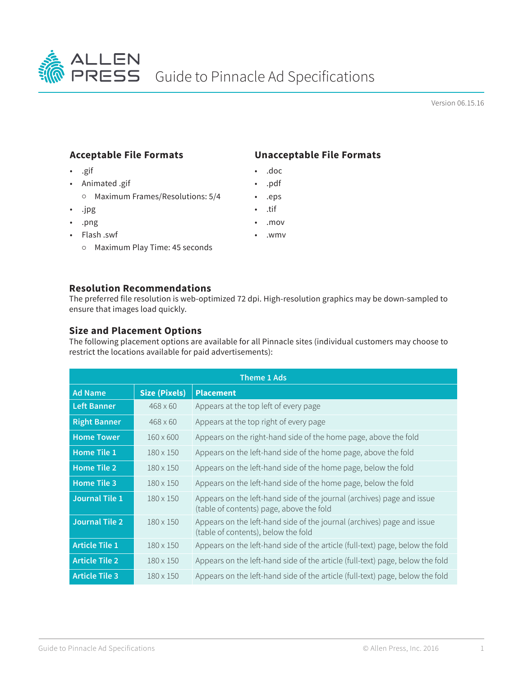

Version 06.15.16

## **Acceptable File Formats**

- .gif
- Animated .gif Maximum Frames/Resolutions: 5/4
- .jpg
- .png
- Flash .swf
	- Maximum Play Time: 45 seconds

## **Unacceptable File Formats**

- .doc
- .pdf
- .eps
- .tif
- .mov
- .wmv

## **Resolution Recommendations**

The preferred file resolution is web-optimized 72 dpi. High-resolution graphics may be down-sampled to ensure that images load quickly.

## **Size and Placement Options**

The following placement options are available for all Pinnacle sites (individual customers may choose to restrict the locations available for paid advertisements):

| <b>Theme 1 Ads</b>    |                      |                                                                                                                    |  |  |
|-----------------------|----------------------|--------------------------------------------------------------------------------------------------------------------|--|--|
| <b>Ad Name</b>        | <b>Size (Pixels)</b> | <b>Placement</b>                                                                                                   |  |  |
| <b>Left Banner</b>    | $468 \times 60$      | Appears at the top left of every page                                                                              |  |  |
| <b>Right Banner</b>   | $468 \times 60$      | Appears at the top right of every page                                                                             |  |  |
| <b>Home Tower</b>     | $160 \times 600$     | Appears on the right-hand side of the home page, above the fold                                                    |  |  |
| <b>Home Tile 1</b>    | $180 \times 150$     | Appears on the left-hand side of the home page, above the fold                                                     |  |  |
| <b>Home Tile 2</b>    | $180 \times 150$     | Appears on the left-hand side of the home page, below the fold                                                     |  |  |
| <b>Home Tile 3</b>    | $180 \times 150$     | Appears on the left-hand side of the home page, below the fold                                                     |  |  |
| Journal Tile 1        | $180 \times 150$     | Appears on the left-hand side of the journal (archives) page and issue<br>(table of contents) page, above the fold |  |  |
| <b>Journal Tile 2</b> | $180 \times 150$     | Appears on the left-hand side of the journal (archives) page and issue<br>(table of contents), below the fold      |  |  |
| <b>Article Tile 1</b> | $180 \times 150$     | Appears on the left-hand side of the article (full-text) page, below the fold                                      |  |  |
| <b>Article Tile 2</b> | $180 \times 150$     | Appears on the left-hand side of the article (full-text) page, below the fold                                      |  |  |
| <b>Article Tile 3</b> | $180 \times 150$     | Appears on the left-hand side of the article (full-text) page, below the fold                                      |  |  |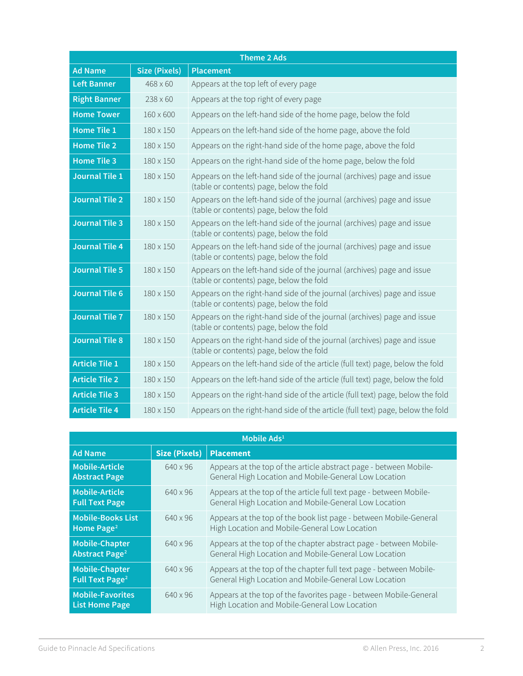| <b>Theme 2 Ads</b>    |                  |                                                                                                                     |  |  |
|-----------------------|------------------|---------------------------------------------------------------------------------------------------------------------|--|--|
| <b>Ad Name</b>        | Size (Pixels)    | <b>Placement</b>                                                                                                    |  |  |
| <b>Left Banner</b>    | $468 \times 60$  | Appears at the top left of every page                                                                               |  |  |
| <b>Right Banner</b>   | $238 \times 60$  | Appears at the top right of every page                                                                              |  |  |
| <b>Home Tower</b>     | $160 \times 600$ | Appears on the left-hand side of the home page, below the fold                                                      |  |  |
| <b>Home Tile 1</b>    | 180 x 150        | Appears on the left-hand side of the home page, above the fold                                                      |  |  |
| <b>Home Tile 2</b>    | 180 x 150        | Appears on the right-hand side of the home page, above the fold                                                     |  |  |
| <b>Home Tile 3</b>    | 180 x 150        | Appears on the right-hand side of the home page, below the fold                                                     |  |  |
| <b>Journal Tile 1</b> | 180 x 150        | Appears on the left-hand side of the journal (archives) page and issue<br>(table or contents) page, below the fold  |  |  |
| <b>Journal Tile 2</b> | 180 x 150        | Appears on the left-hand side of the journal (archives) page and issue<br>(table or contents) page, below the fold  |  |  |
| <b>Journal Tile 3</b> | 180 x 150        | Appears on the left-hand side of the journal (archives) page and issue<br>(table or contents) page, below the fold  |  |  |
| <b>Journal Tile 4</b> | 180 x 150        | Appears on the left-hand side of the journal (archives) page and issue<br>(table or contents) page, below the fold  |  |  |
| <b>Journal Tile 5</b> | 180 x 150        | Appears on the left-hand side of the journal (archives) page and issue<br>(table or contents) page, below the fold  |  |  |
| <b>Journal Tile 6</b> | 180 x 150        | Appears on the right-hand side of the journal (archives) page and issue<br>(table or contents) page, below the fold |  |  |
| <b>Journal Tile 7</b> | 180 x 150        | Appears on the right-hand side of the journal (archives) page and issue<br>(table or contents) page, below the fold |  |  |
| <b>Journal Tile 8</b> | 180 x 150        | Appears on the right-hand side of the journal (archives) page and issue<br>(table or contents) page, below the fold |  |  |
| <b>Article Tile 1</b> | $180 \times 150$ | Appears on the left-hand side of the article (full text) page, below the fold                                       |  |  |
| <b>Article Tile 2</b> | 180 x 150        | Appears on the left-hand side of the article (full text) page, below the fold                                       |  |  |
| <b>Article Tile 3</b> | 180 x 150        | Appears on the right-hand side of the article (full text) page, below the fold                                      |  |  |
| <b>Article Tile 4</b> | 180 x 150        | Appears on the right-hand side of the article (full text) page, below the fold                                      |  |  |

| Mobile Ads <sup>1</sup>                                   |                      |                                                                                                                             |  |  |
|-----------------------------------------------------------|----------------------|-----------------------------------------------------------------------------------------------------------------------------|--|--|
| <b>Ad Name</b>                                            | <b>Size (Pixels)</b> | <b>Placement</b>                                                                                                            |  |  |
| <b>Mobile-Article</b><br><b>Abstract Page</b>             | 640 x 96             | Appears at the top of the article abstract page - between Mobile-<br>General High Location and Mobile-General Low Location  |  |  |
| <b>Mobile-Article</b><br><b>Full Text Page</b>            | 640 x 96             | Appears at the top of the article full text page - between Mobile-<br>General High Location and Mobile-General Low Location |  |  |
| <b>Mobile-Books List</b><br>Home Page <sup>2</sup>        | 640 x 96             | Appears at the top of the book list page - between Mobile-General<br>High Location and Mobile-General Low Location          |  |  |
| <b>Mobile-Chapter</b><br><b>Abstract Page<sup>2</sup></b> | 640 x 96             | Appears at the top of the chapter abstract page - between Mobile-<br>General High Location and Mobile-General Low Location  |  |  |
| <b>Mobile-Chapter</b><br>Full Text Page <sup>2</sup>      | 640 x 96             | Appears at the top of the chapter full text page - between Mobile-<br>General High Location and Mobile-General Low Location |  |  |
| <b>Mobile-Favorites</b><br><b>List Home Page</b>          | 640 x 96             | Appears at the top of the favorites page - between Mobile-General<br>High Location and Mobile-General Low Location          |  |  |